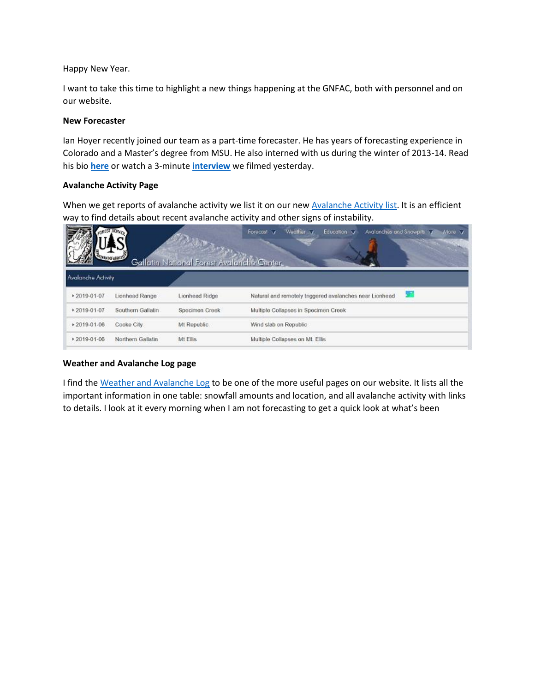Happy New Year.

I want to take this time to highlight a new things happening at the GNFAC, both with personnel and on our website.

### **New Forecaster**

Ian Hoyer recently joined our team as a part-time forecaster. He has years of forecasting experience in Colorado and a Master's degree from MSU. He also interned with us during the winter of 2013-14. Read his bio **[here](https://www.mtavalanche.com/gnfac/staff)** or watch a 3-minute **[interview](https://www.youtube.com/watch?v=yBnxO5ga7vE&list=PLXu5151nmAvRNl9kuY3DxfWN1qiU7IeX9&index=3&t=0s)** we filmed yesterday.

# **Avalanche Activity Page**

When we get reports of avalanche activity we list it on our new **[Avalanche Activity list.](https://www.mtavalanche.com/avalanche-activity)** It is an efficient way to find details about recent avalanche activity and other signs of instability.

| Weather y<br>Avalanches and Snowpits<br>Forecost V<br>Education V<br>More V<br>Gallatin National Forest Avalanche Center.<br><b>Avalanche Activity</b> |                   |                |                                                         |  |  |  |  |  |  |  |
|--------------------------------------------------------------------------------------------------------------------------------------------------------|-------------------|----------------|---------------------------------------------------------|--|--|--|--|--|--|--|
| +2019-01-07                                                                                                                                            | Lionhead Range    | Lionhead Ridge | Natural and remotely triggered avalanches near Lionhead |  |  |  |  |  |  |  |
| $+2019-01-07$                                                                                                                                          | Southern Gallatin | Specimen Creek | Multiple Collapses in Specimen Creek                    |  |  |  |  |  |  |  |
| $*2019-01-06$                                                                                                                                          | Cooke City        | Mt Republic    | Wind slab on Republic                                   |  |  |  |  |  |  |  |
| ▶ 2019-01-06                                                                                                                                           | Northern Gallatin | Mt Ellis       | Multiple Collapses on Mt. Ellis                         |  |  |  |  |  |  |  |

## **Weather and Avalanche Log page**

I find th[e Weather and Avalanche Log](https://www.mtavalanche.com/weather/wx-avalanche-log) to be one of the more useful pages on our website. It lists all the important information in one table: snowfall amounts and location, and all avalanche activity with links to details. I look at it every morning when I am not forecasting to get a quick look at what's been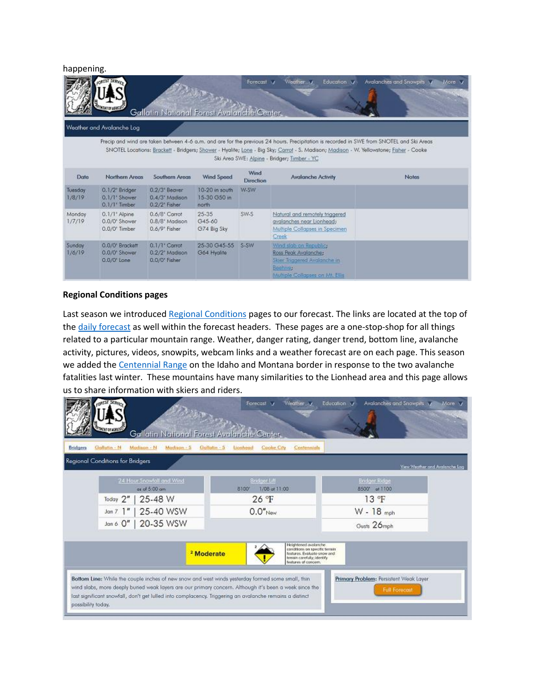happening.

| Weather 37<br>Avalanches and Snowpits<br>Forecast M<br>Education V<br>More V<br>Gallatin National Forest Avalanche Center.<br>Weather and Avalanche Log                                                                                                                                                                                   |                                                                |                                                                            |                                         |           |                                                                                                                              |              |  |  |  |  |
|-------------------------------------------------------------------------------------------------------------------------------------------------------------------------------------------------------------------------------------------------------------------------------------------------------------------------------------------|----------------------------------------------------------------|----------------------------------------------------------------------------|-----------------------------------------|-----------|------------------------------------------------------------------------------------------------------------------------------|--------------|--|--|--|--|
| Precip and wind are taken between 4-6 a.m. and are for the previous 24 hours. Precipitation is recorded in SWE from SNOTEL and Ski Areas<br>SNOTEL Locations: Brackett - Bridgers; Shower - Hyalite; Lone - Big Sky; Carrot - S. Madison; Madison - W. Yellowstone; Fisher - Cooke<br>Ski Area SWE: Alpine - Bridger; Timber - YC<br>Wind |                                                                |                                                                            |                                         |           |                                                                                                                              |              |  |  |  |  |
| Date                                                                                                                                                                                                                                                                                                                                      | Northern Areas                                                 | Southern Areas                                                             | Wind Speed                              | Direction | <b>Avalanche Activity</b>                                                                                                    | <b>Notes</b> |  |  |  |  |
| Tuesday<br>1/8/19                                                                                                                                                                                                                                                                                                                         | 0.1/2" Bridger<br>0.1/1" Shower<br>$0.1/1$ <sup>*</sup> Timber | 0.2/3 <sup>*</sup> Beaver<br>0.4/3" Madison<br>0.2/2' Fisher               | 10-20 in south<br>15-30 G50 in<br>north | W-SW      |                                                                                                                              |              |  |  |  |  |
| Monday<br>1/7/19                                                                                                                                                                                                                                                                                                                          | 0.1/1° Alpine<br>0.0/0° Shower<br>0.0/0° Timber                | $0.6/8$ <sup>*</sup> Carrot<br>0.8/8 <sup>*</sup> Madison<br>0.6/9" Fisher | 25-35<br>G45-60<br>G74 Big Sky          | SW-S      | Natural and remotely triggered<br>avalanches near Lionhead;<br>Multiple Collapses in Specimen<br>Creek                       |              |  |  |  |  |
| Sunday<br>1/6/19                                                                                                                                                                                                                                                                                                                          | 0.0/0 <sup>*</sup> Brackett<br>0.0/0" Shower<br>0.0/0" Lone    | $0.1/1$ <sup>*</sup> Carrot<br>0.2/2" Modison<br>0.0/0' Fisher             | 25-30 G45-55<br>G64 Hyalite             | S-SW      | Wind slab on Republic:<br>Ross Peak Avalanche;<br>Skier Triggered Avalanche in<br>Beenwer<br>Multiple Collapses on Mt. Ellis |              |  |  |  |  |

#### **Regional Conditions pages**

Last season we introduced [Regional Conditions](https://www.mtavalanche.com/forecast/bridgers) pages to our forecast. The links are located at the top of th[e daily forecast](https://www.mtavalanche.com/forecast) as well within the forecast headers. These pages are a one-stop-shop for all things related to a particular mountain range. Weather, danger rating, danger trend, bottom line, avalanche activity, pictures, videos, snowpits, webcam links and a weather forecast are on each page. This season we added the [Centennial Range](https://www.mtavalanche.com/forecast/centennials) on the Idaho and Montana border in response to the two avalanche fatalities last winter. These mountains have many similarities to the Lionhead area and this page allows us to share information with skiers and riders.

|                                                                                                                                                                                                                                                                                                                                                | Gallatin National Forest Avalanche Center. | Forecast V<br>Weather y                                                                                                                       | Education V<br>Avalanches and Snowpits                         | More v                         |
|------------------------------------------------------------------------------------------------------------------------------------------------------------------------------------------------------------------------------------------------------------------------------------------------------------------------------------------------|--------------------------------------------|-----------------------------------------------------------------------------------------------------------------------------------------------|----------------------------------------------------------------|--------------------------------|
| Modison - N<br>Gallatin - N<br>Modison - S<br>Bridgers                                                                                                                                                                                                                                                                                         | Gollatin - S<br>Lionhead                   | Cooke City<br>Centennials                                                                                                                     |                                                                |                                |
| Regional Conditions for Bridgers                                                                                                                                                                                                                                                                                                               |                                            |                                                                                                                                               |                                                                | View Weather and Avalanche Lag |
| 24 Hour Snowfall and Wind<br>as of 5:00 cm<br>25-48 W<br>Today 2"                                                                                                                                                                                                                                                                              | 8100                                       | Bridger Litt<br>1/08 at 11:00<br>$26 \text{ F}$                                                                                               | <b>Bridger Ridge</b><br>8500' at 1100<br>13 °F                 |                                |
| 25-40 WSW<br>Jan 7                                                                                                                                                                                                                                                                                                                             |                                            | $0.0"$ New                                                                                                                                    | $W - 18$ mph                                                   |                                |
| Jan 6 0"   20-35 WSW                                                                                                                                                                                                                                                                                                                           |                                            |                                                                                                                                               | Gusts 26mph                                                    |                                |
|                                                                                                                                                                                                                                                                                                                                                | <sup>2</sup> Moderate                      | Heightened avalanche<br>conditions on specific terrain.<br>features. Evaluate snow and<br>terrain carefully; identify<br>features of concern. |                                                                |                                |
| Bottom Line: While the couple inches of new snow and west winds yesterday formed some small, thin<br>wind slabs, more deeply buried weak layers are our primary concern. Although it's been a week since the<br>last significant snowfall, don't get lulled into complacency. Triggering an avalanche remains a distinct<br>possibility today. |                                            |                                                                                                                                               | Primary Problem: Persistent Weak Layer<br><b>Full Forecost</b> |                                |